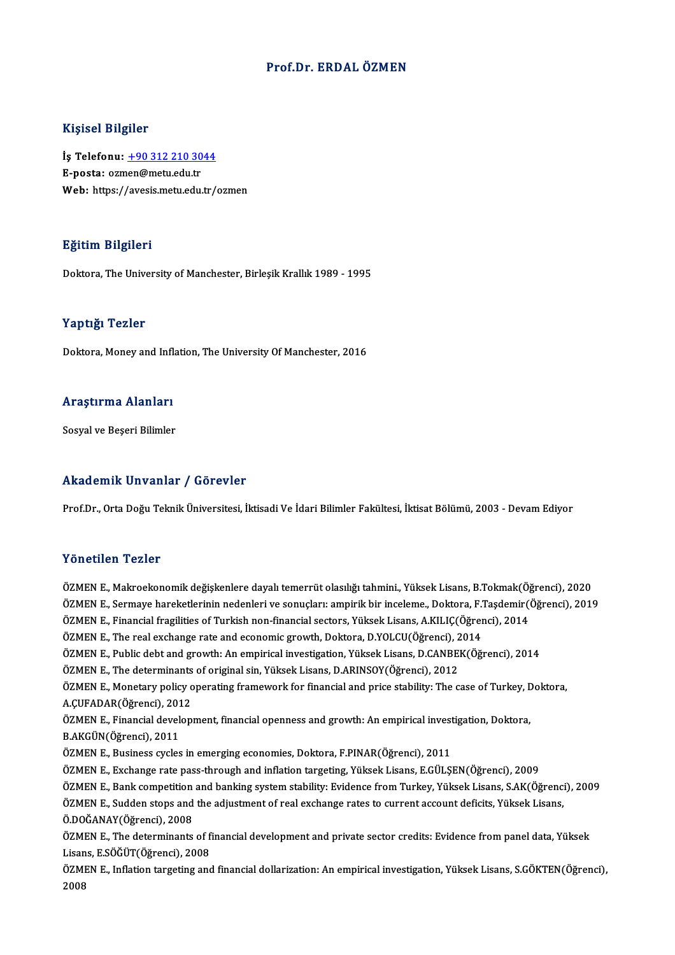### Prof.Dr. ERDALÖZMEN

### Kişisel Bilgiler

Kişisel Bilgiler<br>İş Telefonu: <u>+90 312 210 3044</u><br>E nosta: ezmen@metu.edu.tr 11131021<br>İş Telefonu: <u>+90 312 210 30</u><br>E-posta: oz[men@metu.edu.tr](tel:+90 312 210 3044)<br>Web: https://avesis.metu.edu.tr E-posta: ozmen@metu.edu.tr<br>Web: https://avesis.metu.edu.tr/ozmen

### Eğitim Bilgileri

Doktora, The University of Manchester, Birlesik Krallık 1989 - 1995

### Yaptığı Tezler

Doktora, Money and Inflation, The University Of Manchester, 2016

### <sub>Doktora, money and inii<br>Araştırma Alanları</sub> Ara<mark>ştırma Alanları</mark><br>Sosyal ve Beşeri Bilimler

## Akademik Unvanlar / Görevler

Prof.Dr., Orta Doğu Teknik Üniversitesi, İktisadi Ve İdari Bilimler Fakültesi, İktisat Bölümü, 2003 - Devam Ediyor

### Yönetilen Tezler

Y<mark>önetilen Tezler</mark><br>ÖZMEN E., Makroekonomik değişkenlere dayalı temerrüt olasılığı tahmini., Yüksek Lisans, B.Tokmak(Öğrenci), 2020<br>ÖZMEN E. Sermaye bareketlerinin nedenleri ve senyeleru empirik bir inseleme. Dektere E.Tasd ÖZMEN E., Sermaye hareketlerinin nedenleri ve sonuçları: ampirik bir inceleme., Doktora, F.Taşdemir(Öğrenci), 2019<br>ÖZMEN E., Financial fragilities of Turkish non-financial sectors, Yüksek Lisans, A.KILIC(Öğrenci), 2014 ÖZMEN E., Makroekonomik değişkenlere dayalı temerrüt olasılığı tahmini., Yüksek Lisans, B.Tokmak(Öğ<br>ÖZMEN E., Sermaye hareketlerinin nedenleri ve sonuçları: ampirik bir inceleme., Doktora, F.Taşdemir((Öğrenci),<br>ÖZMEN E., F ÖZMEN E., The real exchange rate and economic growth, Doktora, D.YOLCU(Öğrenci), 2014 ÖZMEN E., Financial fragilities of Turkish non-financial sectors, Yüksek Lisans, A.KILIÇ(Öğrenci), 2014<br>ÖZMEN E., The real exchange rate and economic growth, Doktora, D.YOLCU(Öğrenci), 2014<br>ÖZMEN E., Public debt and growth ÖZMEN E., The real exchange rate and economic growth, Doktora, D.YOLCU(Öğrenci), 2<br>ÖZMEN E., Public debt and growth: An empirical investigation, Yüksek Lisans, D.CANBE!<br>ÖZMEN E., The determinants of original sin, Yüksek Li ÖZMEN E., Public debt and growth: An empirical investigation, Yüksek Lisans, D.CANBEK(Öğrenci), 2014<br>ÖZMEN E., The determinants of original sin, Yüksek Lisans, D.ARINSOY(Öğrenci), 2012<br>ÖZMEN E., Monetary policy operating f ÖZMEN E., The determinants<br>ÖZMEN E., Monetary policy o<br>A.ÇUFADAR(Öğrenci), 2012<br>ÖZMEN E. Einancial davalan ÖZMEN E., Monetary policy operating framework for financial and price stability: The case of Turkey, Doktora,<br>A.ÇUFADAR(Öğrenci), 2012 B.AKGÜN(Öğrenci), 2011<br>ÖZMEN E., Business cycles in emerging economies, Doktora, F.PINAR(Öğrenci), 2011 ÖZMEN E., Financial development, financial openness and growth: An empirical investigation, Doktora, ÖZMENE.,Exchange rate pass-through and inflationtargeting,YüksekLisans,E.GÜLŞEN(Öğrenci),2009 ÖZMEN E., Business cycles in emerging economies, Doktora, F.PINAR(Öğrenci), 2011<br>ÖZMEN E., Exchange rate pass-through and inflation targeting, Yüksek Lisans, E.GÜLŞEN(Öğrenci), 2009<br>ÖZMEN E., Bank competition and banking s ÖZMEN E., Exchange rate pass-through and inflation targeting, Yüksek Lisans, E.GÜLŞEN(Öğrenci), 2009<br>ÖZMEN E., Bank competition and banking system stability: Evidence from Turkey, Yüksek Lisans, S.AK(Öğrenci<br>ÖZMEN E., Sudd ÖZMEN E., Bank competition<br>ÖZMEN E., Sudden stops and<br>Ö.DOĞANAY(Öğrenci), 2008<br>ÖZMEN E. The determinants ÖZMEN E., Sudden stops and the adjustment of real exchange rates to current account deficits, Yüksek Lisans,<br>Ö.DOĞANAY(Öğrenci), 2008<br>ÖZMEN E., The determinants of financial development and private sector credits: Evidence Ö.DOĞANAY(Öğrenci), 2008<br>ÖZMEN E., The determinants of fi<br>Lisans, E.SÖĞÜT(Öğrenci), 2008<br>ÖZMEN E. Inflation tanzating and ÖZMEN E., The determinants of financial development and private sector credits: Evidence from panel data, Yüksek<br>Lisans, E.SÖĞÜT(Öğrenci), 2008<br>ÖZMEN E., Inflation targeting and financial dollarization: An empirical invest Lisans, E.SÖĞÜT(Öğrenci), 2008<br>ÖZMEN E., Inflation targeting and financial dollarization: An empirical investigation, Yüksek Lisans, S.GÖKTEN(Öğrenci),<br>2008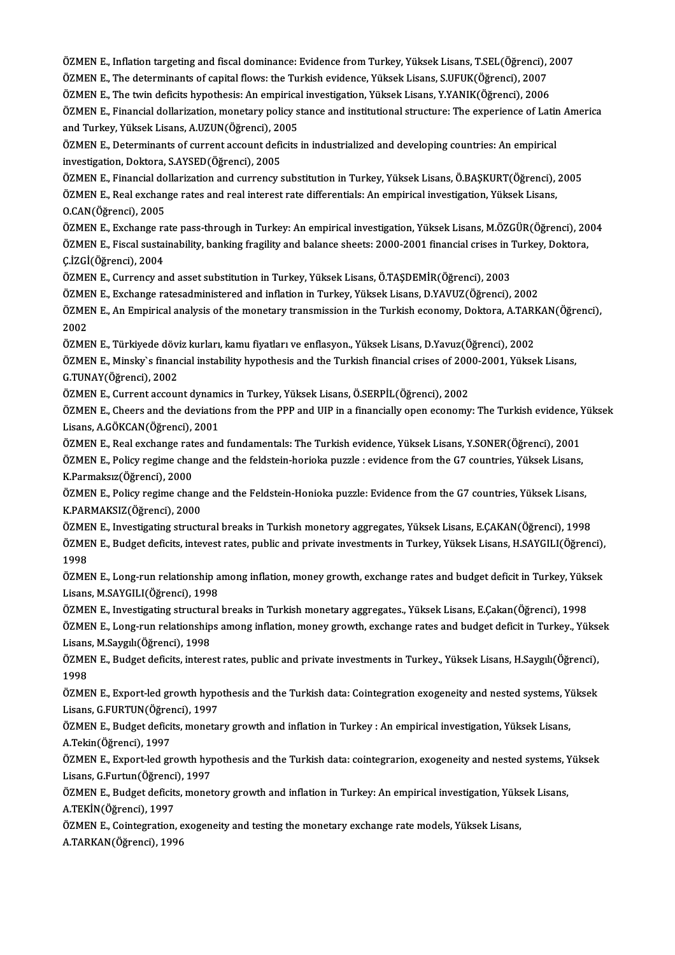ÖZMEN E., Inflation targeting and fiscal dominance: Evidence from Turkey, Yüksek Lisans, T.SEL(Öğrenci), 2007<br>ÖZMEN E. The determinants of sanital floury the Turkish evidence Vülsek Lisans, S.UEUK(Öğrenci), 2007

ÖZMEN E., Inflation targeting and fiscal dominance: Evidence from Turkey, Yüksek Lisans, T.SEL(Öğrenci),<br>ÖZMEN E., The determinants of capital flows: the Turkish evidence, Yüksek Lisans, S.UFUK(Öğrenci), 2007<br>ÖZMEN E., The ÖZMEN E., Inflation targeting and fiscal dominance: Evidence from Turkey, Yüksek Lisans, T.SEL(Öğrenci), 2<br>ÖZMEN E., The determinants of capital flows: the Turkish evidence, Yüksek Lisans, S.UFUK(Öğrenci), 2007<br>ÖZMEN E., T

ÖZMEN E., The determinants of capital flows: the Turkish evidence, Yüksek Lisans, S.UFUK(Öğrenci), 2007<br>ÖZMEN E., The twin deficits hypothesis: An empirical investigation, Yüksek Lisans, Y.YANIK(Öğrenci), 2006<br>ÖZMEN E., Fi ÖZMEN E., The twin deficits hypothesis: An empirica<br>ÖZMEN E., Financial dollarization, monetary policy s<br>and Turkey, Yüksek Lisans, A.UZUN(Öğrenci), 2005<br>ÖZMEN E. Determinants of gurrent acceunt deficits ÖZMEN E., Financial dollarization, monetary policy stance and institutional structure: The experience of Latir<br>and Turkey, Yüksek Lisans, A.UZUN(Öğrenci), 2005<br>ÖZMEN E., Determinants of current account deficits in industri

and Turkey, Yüksek Lisans, A.UZUN(Öğrenci), 2005<br>ÖZMEN E., Determinants of current account deficits in industrialized and developing countries: An empirical<br>investigation, Doktora, S.AYSED(Öğrenci), 2005<br>ÖZMEN E., Financia ÖZMEN E., Determinants of current account deficits in industrialized and developing countries: An empirical

ÖZMEN E., Real exchange rates and real interest rate differentials: An empirical investigation, Yüksek Lisans,

O.CAN(Öğrenci),2005

ÖZMEN E., Real exchange rates and real interest rate differentials: An empirical investigation, Yüksek Lisans,<br>O.CAN(Öğrenci), 2005<br>ÖZMEN E., Exchange rate pass-through in Turkey: An empirical investigation, Yüksek Lisans, O.CAN(Öğrenci), 2005<br>ÖZMEN E., Exchange rate pass-through in Turkey: An empirical investigation, Yüksek Lisans, M.ÖZGÜR(Öğrenci), 20<br>ÖZMEN E., Fiscal sustainability, banking fragility and balance sheets: 2000-2001 financia ÖZMEN E., Exchange ra<br>ÖZMEN E., Fiscal sustai<br>Ç.İZGİ(Öğrenci), 2004<br>ÖZMEN E. Gurrongy ar ÖZMEN E., Fiscal sustainability, banking fragility and balance sheets: 2000-2001 financial crises in "<br>C.İZGİ(Öğrenci), 2004<br>ÖZMEN E., Currency and asset substitution in Turkey, Yüksek Lisans, Ö.TAŞDEMİR(Öğrenci), 2003<br>ÖZM

Ç.İZGİ(Öğrenci), 2004<br>ÖZMEN E., Currency and asset substitution in Turkey, Yüksek Lisans, Ö.TAŞDEMİR(Öğrenci), 2003<br>ÖZMEN E., Exchange ratesadministered and inflation in Turkey, Yüksek Lisans, D.YAVUZ(Öğrenci), 2002<br>ÖZMEN ÖZMEN E., Currency and asset substitution in Turkey, Yüksek Lisans, Ö.TAŞDEMİR(Öğrenci), 2003<br>ÖZMEN E., Exchange ratesadministered and inflation in Turkey, Yüksek Lisans, D.YAVUZ(Öğrenci), 2002<br>ÖZMEN E., An Empirical analy ÖZMEN E., Exchange ratesadministered and inflation in Turkey, Yüksek Lisans, D.YAVUZ(Öğrenci), 2002<br>ÖZMEN E., An Empirical analysis of the monetary transmission in the Turkish economy, Doktora, A.TARK<br>2002<br>ÖZMEN E., Türkiy ÖZMEN E., An Empirical analysis of the monetary transmission in the Turkish economy, Doktora, A.TARI<br>2002<br>ÖZMEN E., Türkiyede döviz kurları, kamu fiyatları ve enflasyon., Yüksek Lisans, D.Yavuz(Öğrenci), 2002<br>ÖZMEN E. Mine

2002<br>ÖZMEN E., Türkiyede döviz kurları, kamu fiyatları ve enflasyon., Yüksek Lisans, D.Yavuz(Öğrenci), 2002<br>ÖZMEN E., Minsky`s financial instability hypothesis and the Turkish financial crises of 2000-2001, Yüksek Lisans,<br> G.TUNAY(Öğrenci), 2002<br>ÖZMEN E., Current account dynamics in Turkey, Yüksek Lisans, Ö.SERPİL(Öğrenci), 2002 ÖZMEN E., Minsky`s financial instability hypothesis and the Turkish financial crises of 200<br>G.TUNAY(Öğrenci), 2002<br>ÖZMEN E., Current account dynamics in Turkey, Yüksek Lisans, Ö.SERPİL(Öğrenci), 2002<br>ÖZMEN E., Cheers and t

G.TUNAY(Öğrenci), 2002<br>ÖZMEN E., Current account dynamics in Turkey, Yüksek Lisans, Ö.SERPİL(Öğrenci), 2002<br>ÖZMEN E., Cheers and the deviations from the PPP and UIP in a financially open economy: The Turkish evidence, Yüks Lisans,A.GÖKCAN(Öğrenci),2001 ÖZMEN E., Cheers and the deviations from the PPP and UIP in a financially open economy: The Turkish evidence, Y<br>Lisans, A.GÖKCAN(Öğrenci), 2001<br>ÖZMEN E., Real exchange rates and fundamentals: The Turkish evidence, Yüksek L

ÖZMEN E., Policy regime change and the feldstein-horioka puzzle : evidence from the G7 countries, Yüksek Lisans,<br>K.Parmaksız(Öğrenci), 2000 ÖZMEN E., Real exchange rates and fundamentals: The Turkish evidence, Yüksek Lisans, Y.SONER(Öğrenci), 2001 ÖZMEN E., Policy regime change and the feldstein-horioka puzzle : evidence from the G7 countries, Yüksek Lisans,<br>K.Parmaksız(Öğrenci), 2000<br>ÖZMEN E., Policy regime change and the Feldstein-Honioka puzzle: Evidence from the

K.Parmaksız(Öğrenci), 2000<br>ÖZMEN E., Policy regime chang<br>K.PARMAKSIZ(Öğrenci), 2000<br>ÖZMEN E. Investisating structi ÖZMEN E., Policy regime change and the Feldstein-Honioka puzzle: Evidence from the G7 countries, Yüksek Lisans,<br>K.PARMAKSIZ(Öğrenci), 2000<br>ÖZMEN E., Investigating structural breaks in Turkish monetory aggregates, Yüksek Li

K.PARMAKSIZ(Öğrenci), 2000<br>ÖZMEN E., Investigating structural breaks in Turkish monetory aggregates, Yüksek Lisans, E.ÇAKAN(Öğrenci), 1998<br>ÖZMEN E., Budget deficits, intevest rates, public and private investments in Turkey ÖZME<br>ÖZME<br>1998<br>ÖZME ÖZMEN E., Budget deficits, intevest rates, public and private investments in Turkey, Yüksek Lisans, H.SAYGILI(Öğrenci),<br>1998<br>ÖZMEN E., Long-run relationship among inflation, money growth, exchange rates and budget deficit

1998<br>ÖZMEN E., Long-run relationship a<br>Lisans, M.SAYGILI(Öğrenci), 1998<br>ÖZMEN E. Investisating etmeturel ÖZMEN E., Long-run relationship among inflation, money growth, exchange rates and budget deficit in Turkey, Yüks<br>Lisans, M.SAYGILI(Öğrenci), 1998<br>ÖZMEN E., Investigating structural breaks in Turkish monetary aggregates., Y

Lisans, M.SAYGILI(Öğrenci), 1998<br>ÖZMEN E., Investigating structural breaks in Turkish monetary aggregates., Yüksek Lisans, E.Çakan(Öğrenci), 1998<br>ÖZMEN E., Long-run relationships among inflation, money growth, exchange rat ÖZMEN E., Investigating structura<br>ÖZMEN E., Long-run relationship<br>Lisans, M.Saygılı(Öğrenci), 1998<br>ÖZMEN E. Budget deficite intere ÖZMEN E., Long-run relationships among inflation, money growth, exchange rates and budget deficit in Turkey., Yüksek<br>Lisans, M.Saygılı(Öğrenci), 1998<br>ÖZMEN E., Budget deficits, interest rates, public and private investment Lisans, M. Saygılı (Öğrenci), 1998

ÖZMEN E., Budget deficits, interest rates, public and private investments in Turkey., Yüksek Lisans, H.Saygılı(Öğrenci),<br>1998<br>ÖZMEN E., Export-led growth hypothesis and the Turkish data: Cointegration exogeneity and nested

ÖZMEN E., Export-led growth hypothesis and the Turkish data: Cointegration exogeneity and nested systems, Yüksek ÖZMEN E., Export-led growth hypothesis and the Turkish data: Cointegration exogeneity and nested systems, Yuksek.<br>Lisans, G.FURTUN(Öğrenci), 1997<br>ÖZMEN E., Budget deficits, monetary growth and inflation in Turkey : An empi

Lisans, G.FURTUN(Öğren<br>ÖZMEN E., Budget defici<br>A.Tekin(Öğrenci), 1997<br>ÖZMEN E. Evnort led ar ÖZMEN E., Budget deficits, monetary growth and inflation in Turkey : An empirical investigation, Yüksek Lisans,<br>A.Tekin(Öğrenci), 1997<br>ÖZMEN E., Export-led growth hypothesis and the Turkish data: cointegrarion, exogeneity

A.Tekin(Öğrenci), 1997<br>ÖZMEN E., Export-led growth hyp<br>Lisans, G.Furtun(Öğrenci), 1997<br>ÖZMEN E. Budget defisits, monet ÖZMEN E., Export-led growth hypothesis and the Turkish data: cointegrarion, exogeneity and nested systems, Yuksek.<br>Lisans, G.Furtun(Öğrenci), 1997<br>ÖZMEN E., Budget deficits, monetory growth and inflation in Turkey: An empi

Lisans, G.Furtun(Öğrenci), 1997<br>ÖZMEN E., Budget deficits, mone<br>A.TEKİN(Öğrenci), 1997

ÖZMEN E., Budget deficits, monetory growth and inflation in Turkey: An empirical investigation, Yüksek Lisans,<br>A.TEKİN(Öğrenci), 1997<br>ÖZMEN E., Cointegration, exogeneity and testing the monetary exchange rate models, Yükse ÖZMEN E., Cointegration, exogeneity and testing the monetary exchange rate models, Yüksek Lisans,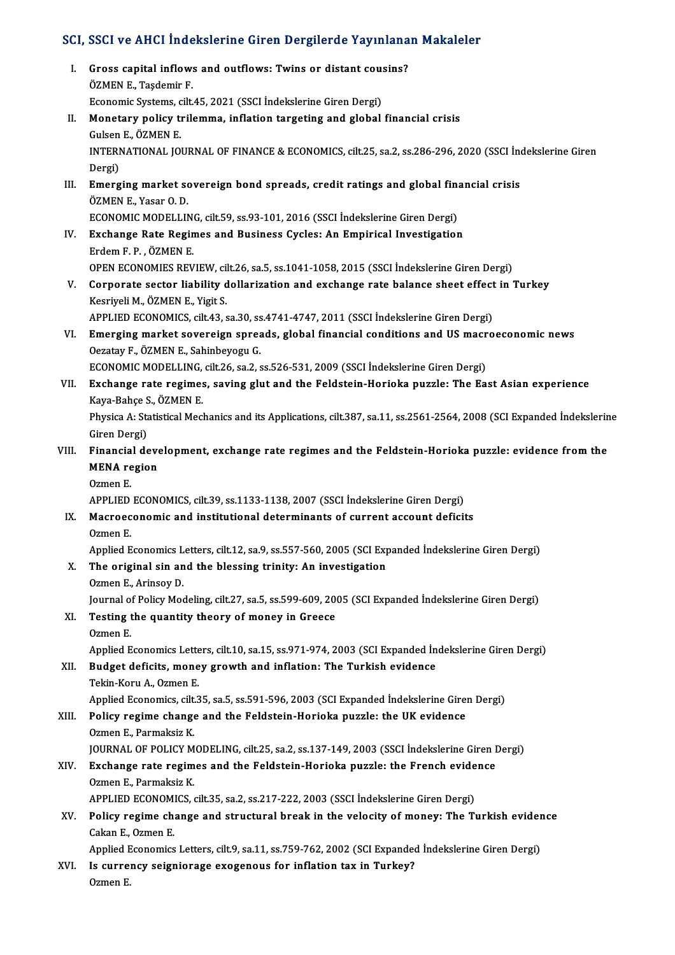# SCI, SSCI ve AHCI İndekslerine Giren Dergilerde Yayınlanan Makaleler<br>.

| SCI, SSCI ve AHCI İndekslerine Giren Dergilerde Yayınlanan Makaleler |                                                                                                                                  |
|----------------------------------------------------------------------|----------------------------------------------------------------------------------------------------------------------------------|
| L                                                                    | Gross capital inflows and outflows: Twins or distant cousins?<br>ÖZMEN E., Taşdemir F.                                           |
|                                                                      | Economic Systems, cilt.45, 2021 (SSCI İndekslerine Giren Dergi)                                                                  |
| П.                                                                   | Monetary policy trilemma, inflation targeting and global financial crisis<br>Gulsen E., ÖZMEN E.                                 |
|                                                                      | INTERNATIONAL JOURNAL OF FINANCE & ECONOMICS, cilt.25, sa.2, ss.286-296, 2020 (SSCI Indekslerine Giren<br>Dergi)                 |
| III.                                                                 | Emerging market sovereign bond spreads, credit ratings and global financial crisis<br>ÖZMEN E., Yasar O.D.                       |
|                                                                      | ECONOMIC MODELLING, cilt.59, ss.93-101, 2016 (SSCI İndekslerine Giren Dergi)                                                     |
| IV.                                                                  | Exchange Rate Regimes and Business Cycles: An Empirical Investigation<br>Erdem F. P., ÖZMEN E.                                   |
|                                                                      | OPEN ECONOMIES REVIEW, cilt.26, sa.5, ss.1041-1058, 2015 (SSCI İndekslerine Giren Dergi)                                         |
| V.                                                                   | Corporate sector liability dollarization and exchange rate balance sheet effect in Turkey<br>Kesriyeli M., ÖZMEN E., Yigit S.    |
|                                                                      | APPLIED ECONOMICS, cilt.43, sa.30, ss.4741-4747, 2011 (SSCI İndekslerine Giren Dergi)                                            |
| VI.                                                                  | Emerging market sovereign spreads, global financial conditions and US macroeconomic news<br>Oezatay F., ÖZMEN E., Sahinbeyogu G. |
|                                                                      | ECONOMIC MODELLING, cilt.26, sa.2, ss.526-531, 2009 (SSCI İndekslerine Giren Dergi)                                              |
| VII.                                                                 | Exchange rate regimes, saving glut and the Feldstein-Horioka puzzle: The East Asian experience                                   |
|                                                                      | Kaya-Bahçe S., ÖZMEN E.                                                                                                          |
|                                                                      | Physica A: Statistical Mechanics and its Applications, cilt.387, sa.11, ss.2561-2564, 2008 (SCI Expanded Indekslerine            |
|                                                                      | Giren Dergi)                                                                                                                     |
| VIII.                                                                | Financial development, exchange rate regimes and the Feldstein-Horioka puzzle: evidence from the                                 |
|                                                                      | <b>MENA</b> region                                                                                                               |
|                                                                      | Ozmen E.                                                                                                                         |
|                                                                      | APPLIED ECONOMICS, cilt.39, ss.1133-1138, 2007 (SSCI İndekslerine Giren Dergi)                                                   |
| IX.                                                                  | Macroeconomic and institutional determinants of current account deficits<br>Ozmen E                                              |
|                                                                      | Applied Economics Letters, cilt.12, sa.9, ss.557-560, 2005 (SCI Expanded Indekslerine Giren Dergi)                               |
| X.                                                                   | The original sin and the blessing trinity: An investigation                                                                      |
|                                                                      | Ozmen E, Arinsoy D.                                                                                                              |
|                                                                      | Journal of Policy Modeling, cilt.27, sa.5, ss.599-609, 2005 (SCI Expanded İndekslerine Giren Dergi)                              |
| XI.                                                                  | Testing the quantity theory of money in Greece<br>Ozmen E.                                                                       |
|                                                                      | Applied Economics Letters, cilt.10, sa.15, ss.971-974, 2003 (SCI Expanded İndekslerine Giren Dergi)                              |
| XII.                                                                 | Budget deficits, money growth and inflation: The Turkish evidence                                                                |
|                                                                      | Tekin-Koru A, Ozmen E                                                                                                            |
|                                                                      | Applied Economics, cilt.35, sa.5, ss.591-596, 2003 (SCI Expanded Indekslerine Giren Dergi)                                       |
| XIII.                                                                | Policy regime change and the Feldstein-Horioka puzzle: the UK evidence                                                           |
|                                                                      | Ozmen E., Parmaksiz K.                                                                                                           |
|                                                                      | JOURNAL OF POLICY MODELING, cilt.25, sa.2, ss.137-149, 2003 (SSCI İndekslerine Giren Dergi)                                      |
| XIV.                                                                 | Exchange rate regimes and the Feldstein-Horioka puzzle: the French evidence                                                      |
|                                                                      | Ozmen E., Parmaksiz K.                                                                                                           |
|                                                                      | APPLIED ECONOMICS, cilt.35, sa.2, ss.217-222, 2003 (SSCI İndekslerine Giren Dergi)                                               |
| XV.                                                                  | Policy regime change and structural break in the velocity of money: The Turkish evidence                                         |
|                                                                      | Cakan E, Ozmen E                                                                                                                 |
|                                                                      | Applied Economics Letters, cilt.9, sa.11, ss.759-762, 2002 (SCI Expanded İndekslerine Giren Dergi)                               |
| XVI.                                                                 | Is currency seigniorage exogenous for inflation tax in Turkey?                                                                   |
|                                                                      | Ozmen E.                                                                                                                         |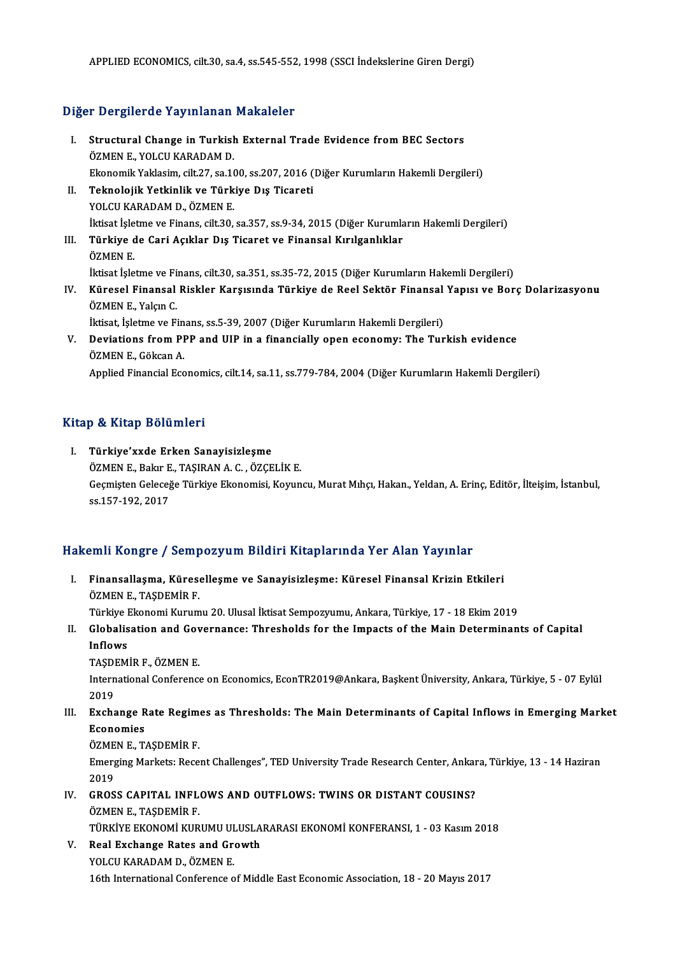APPLIED ECONOMICS, cilt.30, sa.4, ss.545-552, 1998 (SSCI İndekslerine Giren Dergi)

### Diğer Dergilerde Yayınlanan Makaleler

- Iger Dergilerde Yayınlanan Makaleler<br>I. Structural Change in Turkish External Trade Evidence from BEC Sectors<br>ÖZMEN E. VOLCU KARADAM D Sözgisorde Taymandin<br>Structural Change in Turkish<br>ÖZMEN E., YOLCU KARADAM D. ÖZMEN E., YOLCU KARADAM D.<br>Ekonomik Yaklasim, cilt.27, sa.100, ss.207, 2016 (Diğer Kurumların Hakemli Dergileri) ÖZMEN E., YOLCU KARADAM D.<br>Ekonomik Yaklasim, cilt.27, sa.100, ss.207, 2016 (<br>II. Teknolojik Yetkinlik ve Türkiye Dış Ticareti<br>YOLCU KARADAM D. ÖZMEN E
- Ekonomik Yaklasim, cilt.27, sa.10<br>Teknolojik Yetkinlik ve Türk<br>YOLCU KARADAM D., ÖZMEN E.<br>İltisat İslatme ve Finans, silt.20 YOLCU KARADAM D., ÖZMEN E.<br>İktisat İşletme ve Finans, cilt.30, sa.357, ss.9-34, 2015 (Diğer Kurumların Hakemli Dergileri) YOLCU KARADAM D., ÖZMEN E.<br>İktisat İşletme ve Finans, cilt.30, sa.357, ss.9-34, 2015 (Diğer Kurumlar<br>III. Türkiye de Cari Açıklar Dış Ticaret ve Finansal Kırılganlıklar<br>ÖZMEN E
- İktisat İşle<br>**Türkiye**<br>ÖZMEN E.<br>İktisat İsla Türkiye de Cari Açıklar Dış Ticaret ve Finansal Kırılganlıklar<br>ÖZMEN E.<br>İktisat İşletme ve Finans, cilt.30, sa.351, ss.35-72, 2015 (Diğer Kurumların Hakemli Dergileri)<br>Künasal Einansal Bisklar Karsısında Türkiye de Basl Sa
- ÖZMEN E.<br>İktisat İşletme ve Finans, cilt.30, sa.351, ss.35-72, 2015 (Diğer Kurumların Hakemli Dergileri)<br>IV. Küresel Finansal Riskler Karşısında Türkiye de Reel Sektör Finansal Yapısı ve Borç Dolarizasyonu<br>ÖZMEN E., Ya İktisat İşletme ve Fi<br>Küresel Finansal<br>ÖZMEN E., Yalçın C.<br>İltisat, İslatma ve Fi Küresel Finansal Riskler Karşısında Türkiye de Reel Sektör Finansal<br>ÖZMEN E., Yalçın C.<br>İktisat, İşletme ve Finans, ss.5-39, 2007 (Diğer Kurumların Hakemli Dergileri)<br>Devistions from PPP and HIP in a finansially anan asana ÖZMEN E., Yalçın C.<br>İktisat, İşletme ve Finans, ss.5-39, 2007 (Diğer Kurumların Hakemli Dergileri)<br>V. Deviations from PPP and UIP in a financially open economy: The Turkish evidence<br>ÖZMEN E. Cökenn A
	-
- İktisat, İşletme ve Fin<br>Deviations from PI<br>ÖZMEN E., Gökcan A.<br>Annlied Einengial Ess Deviations from PPP and UIP in a financially open economy: The Turkish evidence<br>ÖZMEN E., Gökcan A.<br>Applied Financial Economics, cilt.14, sa.11, ss.779-784, 2004 (Diğer Kurumların Hakemli Dergileri) Applied Financial Economics, cilt.14, sa.11, ss.779-784, 2004 (Diğer Kurumların Hakemli Dergileri)<br>Kitap & Kitap Bölümleri

I. Türkiye'xxde Erken Sanayisizleşme ÖZMEN E., Bakır E., TAŞIRAN A. C., ÖZÇELİK E. Geçmişten Geleceğe Türkiye Ekonomisi, Koyuncu, Murat Mıhçı, Hakan., Yeldan, A. Erinç, Editör, İlteişim, İstanbul, ss.157-192,2017

# ss.157-192, 2017<br>Hakemli Kongre / Sempozyum Bildiri Kitaplarında Yer Alan Yayınlar

akemli Kongre / Sempozyum Bildiri Kitaplarında Yer Alan Yayınlar<br>I. Finansallaşma, Küreselleşme ve Sanayisizleşme: Küresel Finansal Krizin Etkileri<br>ÖZMEN E. TASDEMİR E I. Finansallaşma, Küreselleşme ve Sanayisizleşme: Küresel Finansal Krizin Etkileri<br>ÖZMEN E., TASDEMİR F. Finansallaşma, Küreselleşme ve Sanayisizleşme: Küresel Finansal Krizin Etkileri<br>ÖZMEN E., TAŞDEMİR F.<br>Türkiye Ekonomi Kurumu 20. Ulusal İktisat Sempozyumu, Ankara, Türkiye, 17 - 18 Ekim 2019<br>Clabalisation and Covernanse: T

II. Globalisation and Governance: Thresholds for the Impacts of the Main Determinants of Capital<br>Inflows Türkiye I<br><mark>Globalis</mark><br>Inflows<br>TASDEM Globalisation and Gov<br>Inflows<br>TAŞDEMİR F., ÖZMEN E.<br>International Conference

International Conference on Economics, EconTR2019@Ankara, Başkent Üniversity, Ankara, Türkiye, 5 - 07 Eylül<br>2019 TAŞDI<br>Intern<br>2019<br>Exche International Conference on Economics, EconTR2019@Ankara, Başkent Üniversity, Ankara, Türkiye, 5 - 07 Eylül<br>2019<br>III. Exchange Rate Regimes as Thresholds: The Main Determinants of Capital Inflows in Emerging Market<br>Economi

2019<br>Exchange R<br>Economies<br>ÖZMEN E. T Exchange Rate Regime<br>Economies<br>ÖZMEN E., TAŞDEMİR F.<br>Emerging Markata: Bege

Economies<br>ÖZMEN E., TAŞDEMİR F.<br>Emerging Markets: Recent Challenges", TED University Trade Research Center, Ankara, Türkiye, 13 - 14 Haziran<br>2019 ÖZME<br>Emerg<br>2019<br>CROS Emerging Markets: Recent Challenges", TED University Trade Research Center, Ankar<br>2019<br>IV. GROSS CAPITAL INFLOWS AND OUTFLOWS: TWINS OR DISTANT COUSINS?<br>ÖZMEN E. TASDEMIR E

- 2019<br>IV. GROSS CAPITAL INFLOWS AND OUTFLOWS: TWINS OR DISTANT COUSINS?<br>ÖZMEN E., TASDEMİR F. GROSS CAPITAL INFLOWS AND OUTFLOWS: TWINS OR DISTANT COUSINS?<br>ÖZMEN E., TAŞDEMİR F.<br>TÜRKİYE EKONOMİ KURUMU ULUSLARARASI EKONOMİ KONFERANSI, 1 - 03 Kasım 2018<br>Poal Exchange Pates and Crouth
- V. Real Exchange Rates and Growth TÜRKİYE EKONOMİ KURUMU UI<br>Real Exchange Rates and Green<br>YOLCU KARADAM D., ÖZMEN E.<br>16th International Conference o 16th International Conference of Middle East Economic Association, 18 - 20 Mayıs 2017